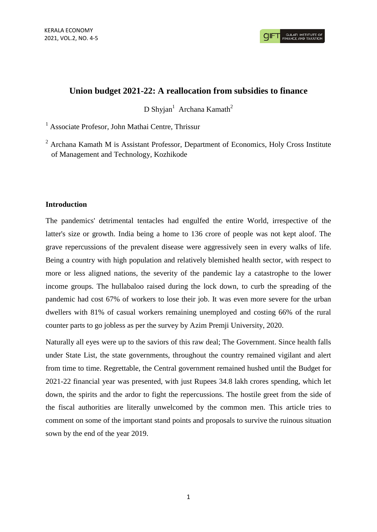**GULATI INSTITUTE O** 

## **Union budget 2021-22: A reallocation from subsidies to finance**

 $D$  Shyjan<sup>1</sup> Archana Kamath<sup>2</sup>

<sup>1</sup> Associate Profesor, John Mathai Centre, Thrissur

 $2$  Archana Kamath M is Assistant Professor, Department of Economics, Holy Cross Institute of Management and Technology, Kozhikode

## **Introduction**

The pandemics' detrimental tentacles had engulfed the entire World, irrespective of the latter's size or growth. India being a home to 136 crore of people was not kept aloof. The grave repercussions of the prevalent disease were aggressively seen in every walks of life. Being a country with high population and relatively blemished health sector, with respect to more or less aligned nations, the severity of the pandemic lay a catastrophe to the lower income groups. The hullabaloo raised during the lock down, to curb the spreading of the pandemic had cost 67% of workers to lose their job. It was even more severe for the urban dwellers with 81% of casual workers remaining unemployed and costing 66% of the rural counter parts to go jobless as per the survey by Azim Premji University, 2020.

Naturally all eyes were up to the saviors of this raw deal; The Government. Since health falls under State List, the state governments, throughout the country remained vigilant and alert from time to time. Regrettable, the Central government remained hushed until the Budget for 2021-22 financial year was presented, with just Rupees 34.8 lakh crores spending, which let down, the spirits and the ardor to fight the repercussions. The hostile greet from the side of the fiscal authorities are literally unwelcomed by the common men. This article tries to comment on some of the important stand points and proposals to survive the ruinous situation sown by the end of the year 2019.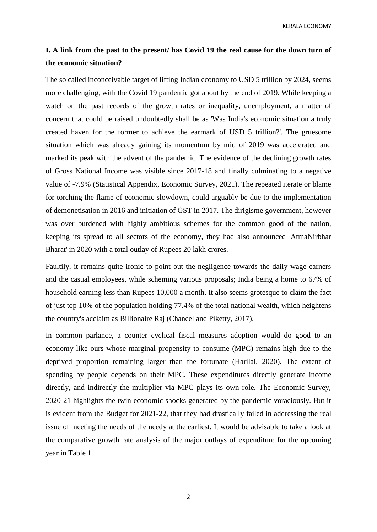KERALA ECONOMY

# **I. A link from the past to the present/ has Covid 19 the real cause for the down turn of the economic situation?**

The so called inconceivable target of lifting Indian economy to USD 5 trillion by 2024, seems more challenging, with the Covid 19 pandemic got about by the end of 2019. While keeping a watch on the past records of the growth rates or inequality, unemployment, a matter of concern that could be raised undoubtedly shall be as 'Was India's economic situation a truly created haven for the former to achieve the earmark of USD 5 trillion?'. The gruesome situation which was already gaining its momentum by mid of 2019 was accelerated and marked its peak with the advent of the pandemic. The evidence of the declining growth rates of Gross National Income was visible since 2017-18 and finally culminating to a negative value of -7.9% (Statistical Appendix, Economic Survey, 2021). The repeated iterate or blame for torching the flame of economic slowdown, could arguably be due to the implementation of demonetisation in 2016 and initiation of GST in 2017. The dirigisme government, however was over burdened with highly ambitious schemes for the common good of the nation, keeping its spread to all sectors of the economy, they had also announced 'AtmaNirbhar Bharat' in 2020 with a total outlay of Rupees 20 lakh crores.

Faultily, it remains quite ironic to point out the negligence towards the daily wage earners and the casual employees, while scheming various proposals; India being a home to 67% of household earning less than Rupees 10,000 a month. It also seems grotesque to claim the fact of just top 10% of the population holding 77.4% of the total national wealth, which heightens the country's acclaim as Billionaire Raj (Chancel and Piketty, 2017).

In common parlance, a counter cyclical fiscal measures adoption would do good to an economy like ours whose marginal propensity to consume (MPC) remains high due to the deprived proportion remaining larger than the fortunate (Harilal, 2020). The extent of spending by people depends on their MPC. These expenditures directly generate income directly, and indirectly the multiplier via MPC plays its own role. The Economic Survey, 2020-21 highlights the twin economic shocks generated by the pandemic voraciously. But it is evident from the Budget for 2021-22, that they had drastically failed in addressing the real issue of meeting the needs of the needy at the earliest. It would be advisable to take a look at the comparative growth rate analysis of the major outlays of expenditure for the upcoming year in Table 1.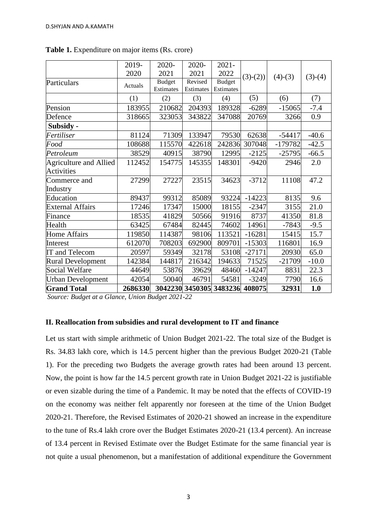|                               | 2019-   | 2020-         | 2020-     | $2021 -$                       |           |           |           |
|-------------------------------|---------|---------------|-----------|--------------------------------|-----------|-----------|-----------|
|                               | 2020    | 2021          | 2021      | 2022                           | $(3)-(2)$ | $(4)-(3)$ | $(3)-(4)$ |
| Particulars                   | Actuals | <b>Budget</b> | Revised   | <b>Budget</b>                  |           |           |           |
|                               |         | Estimates     | Estimates | Estimates                      |           |           |           |
|                               | (1)     | (2)           | (3)       | (4)                            | (5)       | (6)       | (7)       |
| Pension                       | 183955  | 210682        | 204393    | 189328                         | $-6289$   | $-15065$  | $-7.4$    |
| Defence                       | 318665  | 323053        | 343822    | 347088                         | 20769     | 3266      | 0.9       |
| Subsidy -                     |         |               |           |                                |           |           |           |
| Fertiliser                    | 81124   | 71309         | 133947    | 79530                          | 62638     | $-54417$  | $-40.6$   |
| Food                          | 108688  | 115570        | 422618    | 242836                         | 307048    | $-179782$ | $-42.5$   |
| Petroleum                     | 38529   | 40915         | 38790     | 12995                          | $-2125$   | $-25795$  | $-66.5$   |
| <b>Agriculture and Allied</b> | 112452  | 154775        | 145355    | 148301                         | $-9420$   | 2946      | 2.0       |
| <b>Activities</b>             |         |               |           |                                |           |           |           |
| Commerce and                  | 27299   | 27227         | 23515     | 34623                          | $-3712$   | 11108     | 47.2      |
| Industry                      |         |               |           |                                |           |           |           |
| Education                     | 89437   | 99312         | 85089     | 93224                          | $-14223$  | 8135      | 9.6       |
| <b>External Affairs</b>       | 17246   | 17347         | 15000     | 18155                          | $-2347$   | 3155      | 21.0      |
| Finance                       | 18535   | 41829         | 50566     | 91916                          | 8737      | 41350     | 81.8      |
| Health                        | 63425   | 67484         | 82445     | 74602                          | 14961     | $-7843$   | $-9.5$    |
| <b>Home Affairs</b>           | 119850  | 114387        | 98106     | 113521                         | $-16281$  | 15415     | 15.7      |
| Interest                      | 612070  | 708203        | 692900    | 809701                         | $-15303$  | 116801    | 16.9      |
| IT and Telecom                | 20597   | 59349         | 32178     | 53108                          | $-27171$  | 20930     | 65.0      |
| <b>Rural Development</b>      | 142384  | 144817        | 216342    | 194633                         | 71525     | $-21709$  | $-10.0$   |
| Social Welfare                | 44649   | 53876         | 39629     | 48460                          | $-14247$  | 8831      | 22.3      |
| <b>Urban Development</b>      | 42054   | 50040         | 46791     | 54581                          | $-3249$   | 7790      | 16.6      |
| <b>Grand Total</b>            | 2686330 |               |           | 3042230 3450305 3483236 408075 |           | 32931     | 1.0       |

**Table 1.** Expenditure on major items (Rs. crore)

*Source: Budget at a Glance, Union Budget 2021-22*

## **II. Reallocation from subsidies and rural development to IT and finance**

Let us start with simple arithmetic of Union Budget 2021-22. The total size of the Budget is Rs. 34.83 lakh core, which is 14.5 percent higher than the previous Budget 2020-21 (Table 1). For the preceding two Budgets the average growth rates had been around 13 percent. Now, the point is how far the 14.5 percent growth rate in Union Budget 2021-22 is justifiable or even sizable during the time of a Pandemic. It may be noted that the effects of COVID-19 on the economy was neither felt apparently nor foreseen at the time of the Union Budget 2020-21. Therefore, the Revised Estimates of 2020-21 showed an increase in the expenditure to the tune of Rs.4 lakh crore over the Budget Estimates 2020-21 (13.4 percent). An increase of 13.4 percent in Revised Estimate over the Budget Estimate for the same financial year is not quite a usual phenomenon, but a manifestation of additional expenditure the Government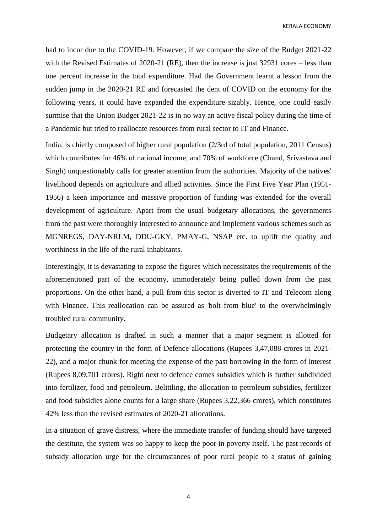KERALA ECONOMY

had to incur due to the COVID-19. However, if we compare the size of the Budget 2021-22 with the Revised Estimates of 2020-21 (RE), then the increase is just 32931 cores – less than one percent increase in the total expenditure. Had the Government learnt a lesson from the sudden jump in the 2020-21 RE and forecasted the dent of COVID on the economy for the following years, it could have expanded the expenditure sizably. Hence, one could easily surmise that the Union Budget 2021-22 is in no way an active fiscal policy during the time of a Pandemic but tried to reallocate resources from rural sector to IT and Finance.

India, is chiefly composed of higher rural population (2/3rd of total population, 2011 Census) which contributes for 46% of national income, and 70% of workforce (Chand, Srivastava and Singh) unquestionably calls for greater attention from the authorities. Majority of the natives' livelihood depends on agriculture and allied activities. Since the First Five Year Plan (1951- 1956) a keen importance and massive proportion of funding was extended for the overall development of agriculture. Apart from the usual budgetary allocations, the governments from the past were thoroughly interested to announce and implement various schemes such as MGNREGS, DAY-NRLM, DDU-GKY, PMAY-G, NSAP etc. to uplift the quality and worthiness in the life of the rural inhabitants.

Interestingly, it is devastating to expose the figures which necessitates the requirements of the aforementioned part of the economy, immoderately being pulled down from the past proportions. On the other hand, a pull from this sector is diverted to IT and Telecom along with Finance. This reallocation can be assured as 'bolt from blue' to the overwhelmingly troubled rural community.

Budgetary allocation is drafted in such a manner that a major segment is allotted for protecting the country in the form of Defence allocations (Rupees 3,47,088 crores in 2021- 22), and a major chunk for meeting the expense of the past borrowing in the form of interest (Rupees 8,09,701 crores). Right next to defence comes subsidies which is further subdivided into fertilizer, food and petroleum. Belittling, the allocation to petroleum subsidies, fertilizer and food subsidies alone counts for a large share (Rupees 3,22,366 crores), which constitutes 42% less than the revised estimates of 2020-21 allocations.

In a situation of grave distress, where the immediate transfer of funding should have targeted the destitute, the system was so happy to keep the poor in poverty itself. The past records of subsidy allocation urge for the circumstances of poor rural people to a status of gaining

4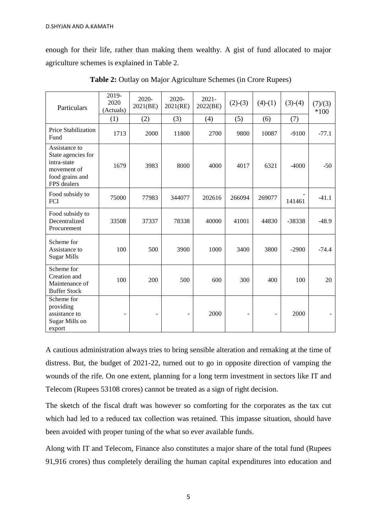enough for their life, rather than making them wealthy. A gist of fund allocated to major agriculture schemes is explained in Table 2.

| Particulars                                                                                         | 2019-<br>2020<br>(Actuals) | 2020-<br>2021(BE) | 2020-<br>2021(RE)        | $2021 -$<br>2022(BE) | $(2)-(3)$                | $(4)-(1)$                | $(3)-(4)$ | (7)/(3)<br>$*100$ |
|-----------------------------------------------------------------------------------------------------|----------------------------|-------------------|--------------------------|----------------------|--------------------------|--------------------------|-----------|-------------------|
|                                                                                                     | (1)                        | (2)               | (3)                      | (4)                  | (5)                      | (6)                      | (7)       |                   |
| <b>Price Stabilization</b><br>Fund                                                                  | 1713                       | 2000              | 11800                    | 2700                 | 9800                     | 10087                    | $-9100$   | $-77.1$           |
| Assistance to<br>State agencies for<br>intra-state<br>movement of<br>food grains and<br>FPS dealers | 1679                       | 3983              | 8000                     | 4000                 | 4017                     | 6321                     | $-4000$   | $-50$             |
| Food subsidy to<br>FCI                                                                              | 75000                      | 77983             | 344077                   | 202616               | 266094                   | 269077                   | 141461    | $-41.1$           |
| Food subsidy to<br>Decentralized<br>Procurement                                                     | 33508                      | 37337             | 78338                    | 40000                | 41001                    | 44830                    | -38338    | $-48.9$           |
| Scheme for<br>Assistance to<br><b>Sugar Mills</b>                                                   | 100                        | 500               | 3900                     | 1000                 | 3400                     | 3800                     | $-2900$   | $-74.4$           |
| Scheme for<br>Creation and<br>Maintenance of<br><b>Buffer Stock</b>                                 | 100                        | 200               | 500                      | 600                  | 300                      | 400                      | 100       | 20                |
| Scheme for<br>providing<br>assistance to<br>Sugar Mills on<br>export                                | $\overline{a}$             |                   | $\overline{\phantom{0}}$ | 2000                 | $\overline{\phantom{a}}$ | $\overline{\phantom{0}}$ | 2000      |                   |

**Table 2:** Outlay on Major Agriculture Schemes (in Crore Rupees)

A cautious administration always tries to bring sensible alteration and remaking at the time of distress. But, the budget of 2021-22, turned out to go in opposite direction of vamping the wounds of the rife. On one extent, planning for a long term investment in sectors like IT and Telecom (Rupees 53108 crores) cannot be treated as a sign of right decision.

The sketch of the fiscal draft was however so comforting for the corporates as the tax cut which had led to a reduced tax collection was retained. This impasse situation, should have been avoided with proper tuning of the what so ever available funds.

Along with IT and Telecom, Finance also constitutes a major share of the total fund (Rupees 91,916 crores) thus completely derailing the human capital expenditures into education and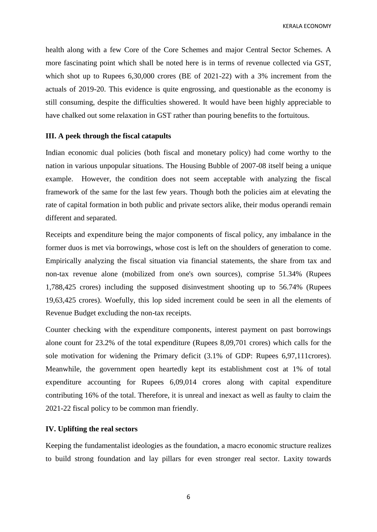KERALA ECONOMY

health along with a few Core of the Core Schemes and major Central Sector Schemes. A more fascinating point which shall be noted here is in terms of revenue collected via GST, which shot up to Rupees 6,30,000 crores (BE of 2021-22) with a 3% increment from the actuals of 2019-20. This evidence is quite engrossing, and questionable as the economy is still consuming, despite the difficulties showered. It would have been highly appreciable to have chalked out some relaxation in GST rather than pouring benefits to the fortuitous.

## **III. A peek through the fiscal catapults**

Indian economic dual policies (both fiscal and monetary policy) had come worthy to the nation in various unpopular situations. The Housing Bubble of 2007-08 itself being a unique example. However, the condition does not seem acceptable with analyzing the fiscal framework of the same for the last few years. Though both the policies aim at elevating the rate of capital formation in both public and private sectors alike, their modus operandi remain different and separated.

Receipts and expenditure being the major components of fiscal policy, any imbalance in the former duos is met via borrowings, whose cost is left on the shoulders of generation to come. Empirically analyzing the fiscal situation via financial statements, the share from tax and non-tax revenue alone (mobilized from one's own sources), comprise 51.34% (Rupees 1,788,425 crores) including the supposed disinvestment shooting up to 56.74% (Rupees 19,63,425 crores). Woefully, this lop sided increment could be seen in all the elements of Revenue Budget excluding the non-tax receipts.

Counter checking with the expenditure components, interest payment on past borrowings alone count for 23.2% of the total expenditure (Rupees 8,09,701 crores) which calls for the sole motivation for widening the Primary deficit (3.1% of GDP: Rupees 6,97,111crores). Meanwhile, the government open heartedly kept its establishment cost at 1% of total expenditure accounting for Rupees 6,09,014 crores along with capital expenditure contributing 16% of the total. Therefore, it is unreal and inexact as well as faulty to claim the 2021-22 fiscal policy to be common man friendly.

#### **IV. Uplifting the real sectors**

Keeping the fundamentalist ideologies as the foundation, a macro economic structure realizes to build strong foundation and lay pillars for even stronger real sector. Laxity towards

6